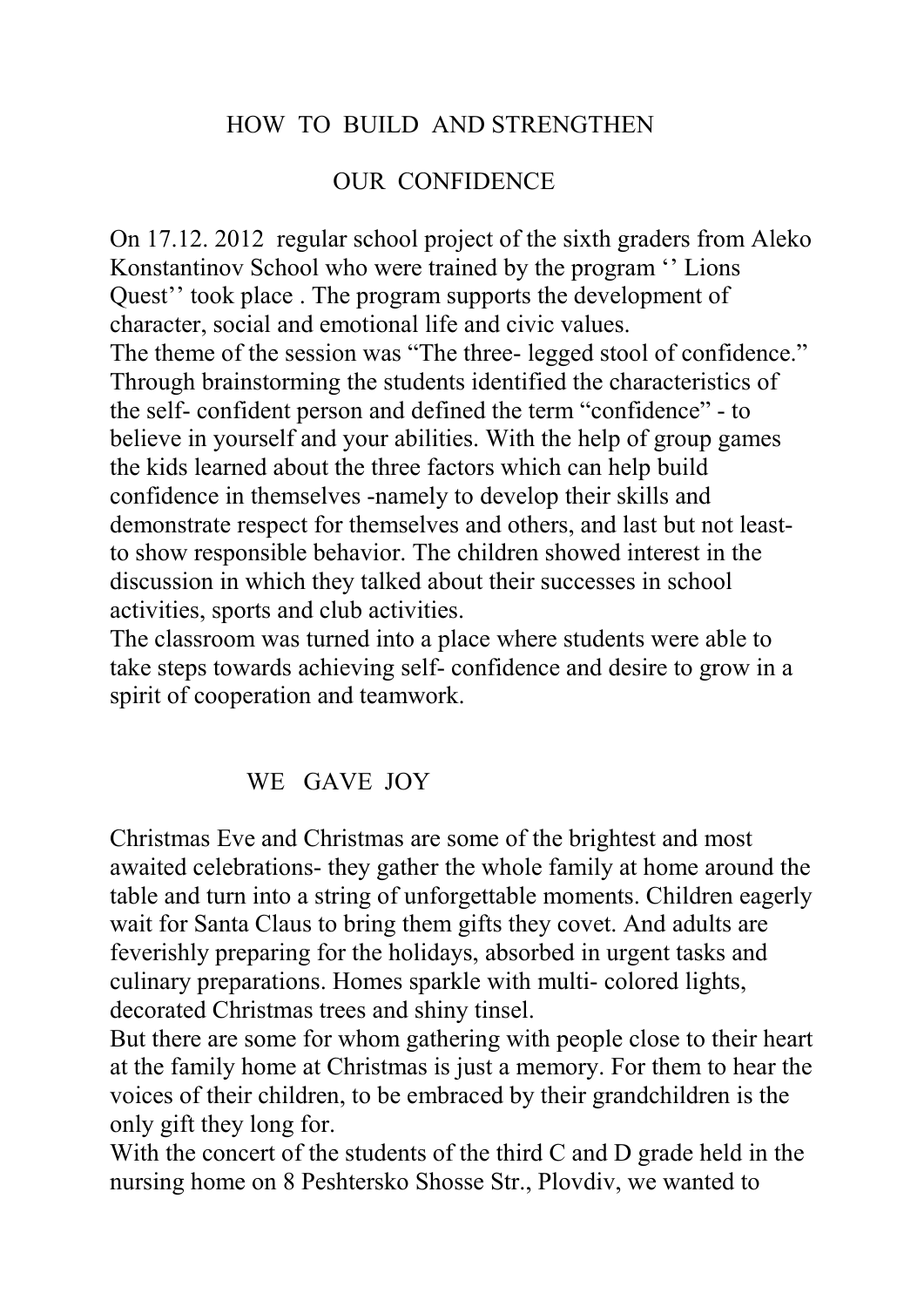## HOW TO BUILD AND STRENGTHEN

### OUR CONFIDENCE

On 17.12. 2012 regular school project of the sixth graders from Aleko Konstantinov School who were trained by the program '' Lions Quest'' took place . The program supports the development of character, social and emotional life and civic values. The theme of the session was "The three- legged stool of confidence." Through brainstorming the students identified the characteristics of the self- confident person and defined the term "confidence" - to believe in yourself and your abilities. With the help of group games the kids learned about the three factors which can help build confidence in themselves -namely to develop their skills and demonstrate respect for themselves and others, and last but not leastto show responsible behavior. The children showed interest in the discussion in which they talked about their successes in school activities, sports and club activities.

The classroom was turned into a place where students were able to take steps towards achieving self- confidence and desire to grow in a spirit of cooperation and teamwork.

#### WE GAVE JOY

Christmas Eve and Christmas are some of the brightest and most awaited celebrations- they gather the whole family at home around the table and turn into a string of unforgettable moments. Children eagerly wait for Santa Claus to bring them gifts they covet. And adults are feverishly preparing for the holidays, absorbed in urgent tasks and culinary preparations. Homes sparkle with multi- colored lights, decorated Christmas trees and shiny tinsel.

But there are some for whom gathering with people close to their heart at the family home at Christmas is just a memory. For them to hear the voices of their children, to be embraced by their grandchildren is the only gift they long for.

With the concert of the students of the third C and D grade held in the nursing home on 8 Peshtersko Shosse Str., Plovdiv, we wanted to